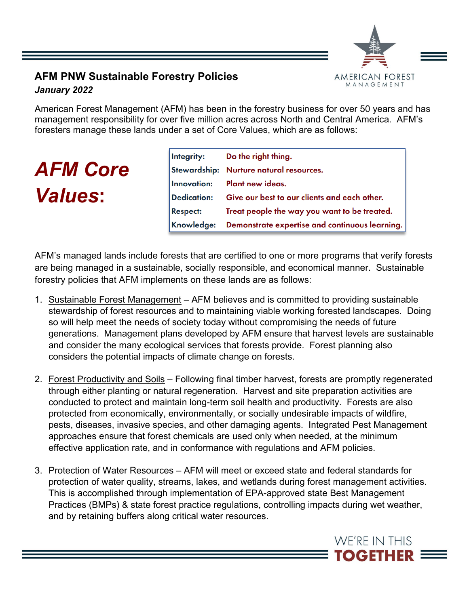

## **AFM PNW Sustainable Forestry Policies** *January 2022*

American Forest Management (AFM) has been in the forestry business for over 50 years and has management responsibility for over five million acres across North and Central America. AFM's foresters manage these lands under a set of Core Values, which are as follows:

## *AFM Core Values***:**

| Integrity:      | Do the right thing.                            |
|-----------------|------------------------------------------------|
|                 | Stewardship: Nurture natural resources.        |
|                 | Innovation: Plant new ideas.                   |
| Dedication:     | Give our best to our clients and each other.   |
| <b>Respect:</b> | Treat people the way you want to be treated.   |
| Knowledge:      | Demonstrate expertise and continuous learning. |

AFM's managed lands include forests that are certified to one or more programs that verify forests are being managed in a sustainable, socially responsible, and economical manner. Sustainable forestry policies that AFM implements on these lands are as follows:

- 1. Sustainable Forest Management AFM believes and is committed to providing sustainable stewardship of forest resources and to maintaining viable working forested landscapes. Doing so will help meet the needs of society today without compromising the needs of future generations. Management plans developed by AFM ensure that harvest levels are sustainable and consider the many ecological services that forests provide. Forest planning also considers the potential impacts of climate change on forests.
- 2. Forest Productivity and Soils Following final timber harvest, forests are promptly regenerated through either planting or natural regeneration. Harvest and site preparation activities are conducted to protect and maintain long-term soil health and productivity. Forests are also protected from economically, environmentally, or socially undesirable impacts of wildfire, pests, diseases, invasive species, and other damaging agents. Integrated Pest Management approaches ensure that forest chemicals are used only when needed, at the minimum effective application rate, and in conformance with regulations and AFM policies.
- 3. Protection of Water Resources AFM will meet or exceed state and federal standards for protection of water quality, streams, lakes, and wetlands during forest management activities. This is accomplished through implementation of EPA-approved state Best Management Practices (BMPs) & state forest practice regulations, controlling impacts during wet weather, and by retaining buffers along critical water resources.